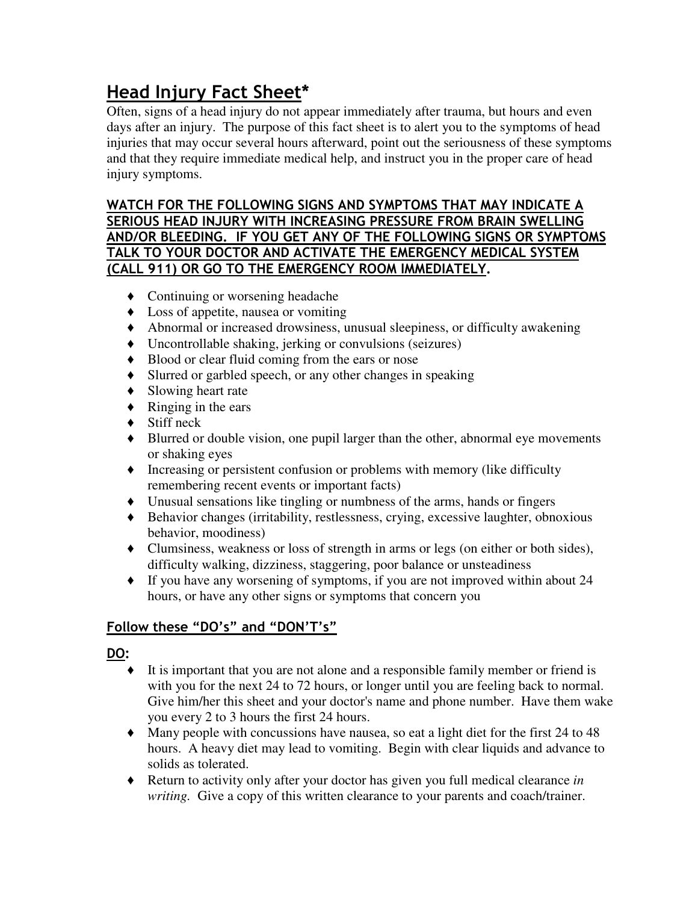# **Head Injury Fact Sheet\***

Often, signs of a head injury do not appear immediately after trauma, but hours and even days after an injury. The purpose of this fact sheet is to alert you to the symptoms of head injuries that may occur several hours afterward, point out the seriousness of these symptoms and that they require immediate medical help, and instruct you in the proper care of head injury symptoms.

## **WATCH FOR THE FOLLOWING SIGNS AND SYMPTOMS THAT MAY INDICATE A SERIOUS HEAD INJURY WITH INCREASING PRESSURE FROM BRAIN SWELLING AND/OR BLEEDING. IF YOU GET ANY OF THE FOLLOWING SIGNS OR SYMPTOMS TALK TO YOUR DOCTOR AND ACTIVATE THE EMERGENCY MEDICAL SYSTEM (CALL 911) OR GO TO THE EMERGENCY ROOM IMMEDIATELY.**

- **♦** Continuing or worsening headache
- **♦** Loss of appetite, nausea or vomiting
- **♦** Abnormal or increased drowsiness, unusual sleepiness, or difficulty awakening
- **♦** Uncontrollable shaking, jerking or convulsions (seizures)
- **♦** Blood or clear fluid coming from the ears or nose
- **♦** Slurred or garbled speech, or any other changes in speaking
- **♦** Slowing heart rate
- **♦** Ringing in the ears
- **♦** Stiff neck
- **♦** Blurred or double vision, one pupil larger than the other, abnormal eye movements or shaking eyes
- **♦** Increasing or persistent confusion or problems with memory (like difficulty remembering recent events or important facts)
- **♦** Unusual sensations like tingling or numbness of the arms, hands or fingers
- **♦** Behavior changes (irritability, restlessness, crying, excessive laughter, obnoxious behavior, moodiness)
- **♦** Clumsiness, weakness or loss of strength in arms or legs (on either or both sides), difficulty walking, dizziness, staggering, poor balance or unsteadiness
- **♦** If you have any worsening of symptoms, if you are not improved within about 24 hours, or have any other signs or symptoms that concern you

## **Follow these "DO's" and "DON'T's"**

## **DO:**

- **♦** It is important that you are not alone and a responsible family member or friend is with you for the next 24 to 72 hours, or longer until you are feeling back to normal. Give him/her this sheet and your doctor's name and phone number. Have them wake you every 2 to 3 hours the first 24 hours.
- **♦** Many people with concussions have nausea, so eat a light diet for the first 24 to 48 hours. A heavy diet may lead to vomiting. Begin with clear liquids and advance to solids as tolerated.
- **♦** Return to activity only after your doctor has given you full medical clearance *in writing.* Give a copy of this written clearance to your parents and coach/trainer.